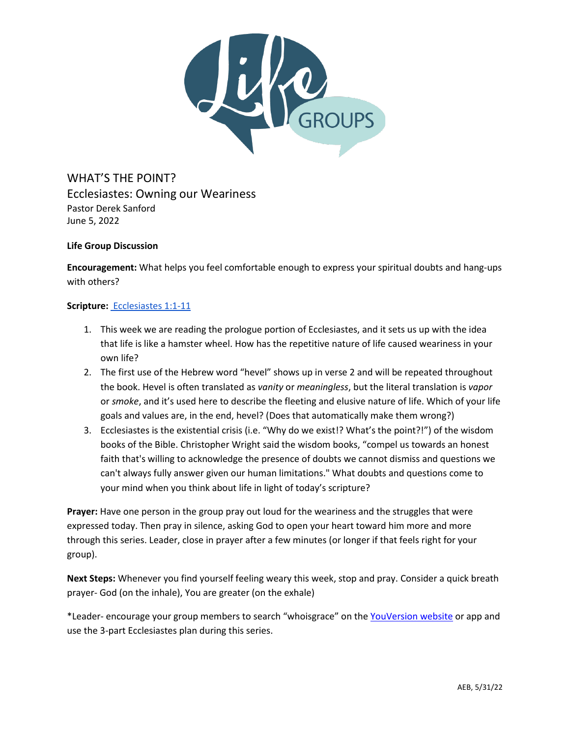

WHAT'S THE POINT? Ecclesiastes: Owning our Weariness Pastor Derek Sanford June 5, 2022

## **Life Group Discussion**

**Encouragement:** What helps you feel comfortable enough to express your spiritual doubts and hang-ups with others?

# **Scripture:** [Ecclesiastes 1:1-11](https://www.biblegateway.com/passage/?search=Ecclesiastes%201%3A1-11&version=ESV)

- 1. This week we are reading the prologue portion of Ecclesiastes, and it sets us up with the idea that life is like a hamster wheel. How has the repetitive nature of life caused weariness in your own life?
- 2. The first use of the Hebrew word "hevel" shows up in verse 2 and will be repeated throughout the book. Hevel is often translated as *vanity* or *meaningless*, but the literal translation is *vapor* or *smoke*, and it's used here to describe the fleeting and elusive nature of life. Which of your life goals and values are, in the end, hevel? (Does that automatically make them wrong?)
- 3. Ecclesiastes is the existential crisis (i.e. "Why do we exist!? What's the point?!") of the wisdom books of the Bible. Christopher Wright said the wisdom books, "compel us towards an honest faith that's willing to acknowledge the presence of doubts we cannot dismiss and questions we can't always fully answer given our human limitations." What doubts and questions come to your mind when you think about life in light of today's scripture?

**Prayer:** Have one person in the group pray out loud for the weariness and the struggles that were expressed today. Then pray in silence, asking God to open your heart toward him more and more through this series. Leader, close in prayer after a few minutes (or longer if that feels right for your group).

**Next Steps:** Whenever you find yourself feeling weary this week, stop and pray. Consider a quick breath prayer- God (on the inhale), You are greater (on the exhale)

\*Leader- encourage your group members to search "whoisgrace" on the [YouVersion website](https://my.bible.com/search/plans?query=whoisgrace) or app and use the 3-part Ecclesiastes plan during this series.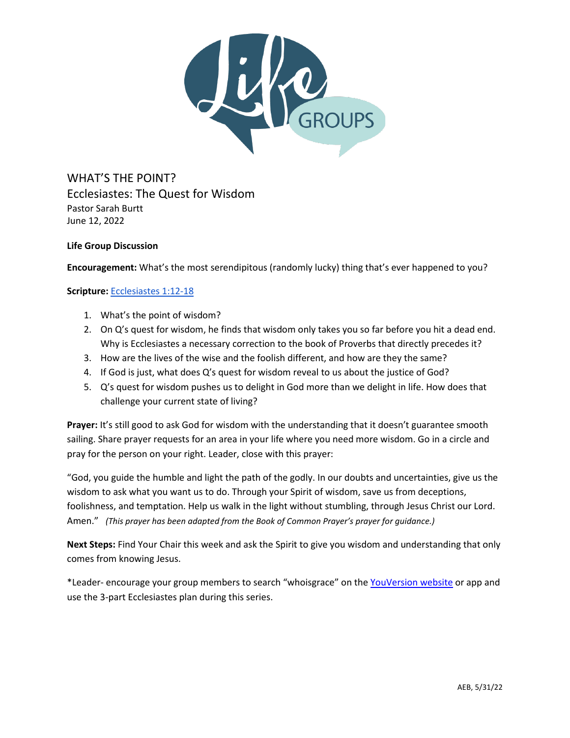

WHAT'S THE POINT? Ecclesiastes: The Quest for Wisdom Pastor Sarah Burtt June 12, 2022

# **Life Group Discussion**

**Encouragement:** What's the most serendipitous (randomly lucky) thing that's ever happened to you?

## **Scripture:** [Ecclesiastes 1:12-18](https://www.biblegateway.com/passage/?search=Ecclesiastes+1%3A12-18&version=ESV)

- 1. What's the point of wisdom?
- 2. On Q's quest for wisdom, he finds that wisdom only takes you so far before you hit a dead end. Why is Ecclesiastes a necessary correction to the book of Proverbs that directly precedes it?
- 3. How are the lives of the wise and the foolish different, and how are they the same?
- 4. If God is just, what does Q's quest for wisdom reveal to us about the justice of God?
- 5. Q's quest for wisdom pushes us to delight in God more than we delight in life. How does that challenge your current state of living?

**Prayer:** It's still good to ask God for wisdom with the understanding that it doesn't guarantee smooth sailing. Share prayer requests for an area in your life where you need more wisdom. Go in a circle and pray for the person on your right. Leader, close with this prayer:

"God, you guide the humble and light the path of the godly. In our doubts and uncertainties, give us the wisdom to ask what you want us to do. Through your Spirit of wisdom, save us from deceptions, foolishness, and temptation. Help us walk in the light without stumbling, through Jesus Christ our Lord. Amen." *(This prayer has been adapted from the Book of Common Prayer's prayer for guidance.)*

**Next Steps:** Find Your Chair this week and ask the Spirit to give you wisdom and understanding that only comes from knowing Jesus.

\*Leader- encourage your group members to search "whoisgrace" on the [YouVersion website](https://my.bible.com/search/plans?query=whoisgrace) or app and use the 3-part Ecclesiastes plan during this series.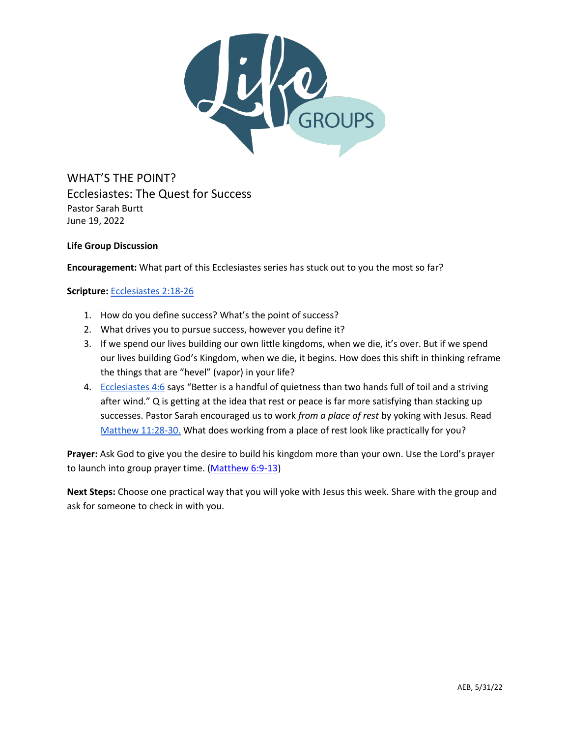

WHAT'S THE POINT? Ecclesiastes: The Quest for Success Pastor Sarah Burtt June 19, 2022

# **Life Group Discussion**

**Encouragement:** What part of this Ecclesiastes series has stuck out to you the most so far?

**Scripture:** [Ecclesiastes 2:18-26](https://www.biblegateway.com/passage/?search=Ecclesiastes+2%3A18-26&version=ESV)

- 1. How do you define success? What's the point of success?
- 2. What drives you to pursue success, however you define it?
- 3. If we spend our lives building our own little kingdoms, when we die, it's over. But if we spend our lives building God's Kingdom, when we die, it begins. How does this shift in thinking reframe the things that are "hevel" (vapor) in your life?
- 4. [Ecclesiastes 4:6](https://www.biblegateway.com/passage/?search=Ecclesiastes+4%3A6&version=ESV) says "Better is a handful of quietness than two hands full of toil and a striving after wind." Q is getting at the idea that rest or peace is far more satisfying than stacking up successes. Pastor Sarah encouraged us to work *from a place of rest* by yoking with Jesus. Read [Matthew 11:28-30.](https://www.biblegateway.com/passage/?search=Matthew+11%3A28-30&version=ESV) What does working from a place of rest look like practically for you?

**Prayer:** Ask God to give you the desire to build his kingdom more than your own. Use the Lord's prayer to launch into group prayer time. [\(Matthew 6:9-13\)](https://biblehub.com/esv/matthew/6.htm)

**Next Steps:** Choose one practical way that you will yoke with Jesus this week. Share with the group and ask for someone to check in with you.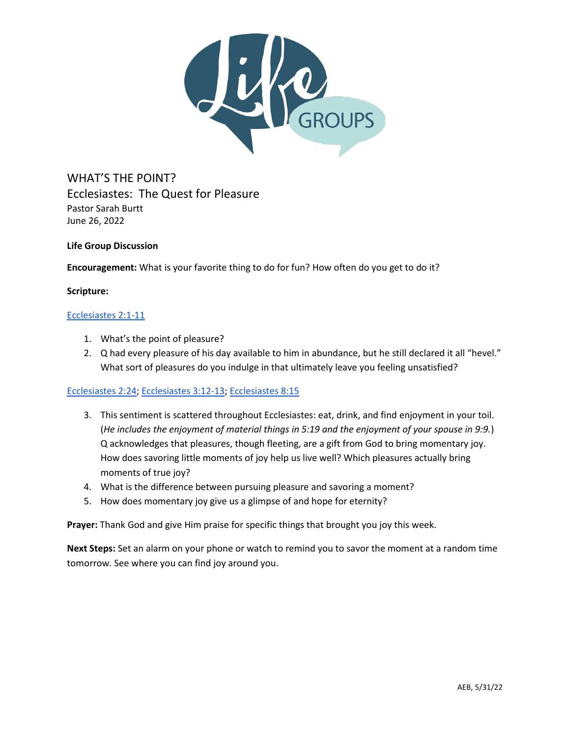

WHAT'S THE POINT? Ecclesiastes: The Quest for Pleasure Pastor Sarah Burtt June 26, 2022

## **Life Group Discussion**

**Encouragement:** What is your favorite thing to do for fun? How often do you get to do it?

### **Scripture:**

### [Ecclesiastes 2:1-11](https://www.biblegateway.com/passage/?search=Ecclesiastes+2%3A1-11&version=ESV)

- 1. What's the point of pleasure?
- 2. Q had every pleasure of his day available to him in abundance, but he still declared it all "hevel." What sort of pleasures do you indulge in that ultimately leave you feeling unsatisfied?

### [Ecclesiastes 2:24;](https://www.biblegateway.com/passage/?search=Ecclesiastes+2%3A24&version=ESV) [Ecclesiastes 3:12-13;](https://www.biblegateway.com/passage/?search=Ecclesiastes+3%3A12-13&version=ESV) [Ecclesiastes 8:15](https://www.biblegateway.com/passage/?search=Ecclesiastes+8%3A15&version=ESV)

- 3. This sentiment is scattered throughout Ecclesiastes: eat, drink, and find enjoyment in your toil. (*He includes the enjoyment of material things in 5:19 and the enjoyment of your spouse in 9:9.*) Q acknowledges that pleasures, though fleeting, are a gift from God to bring momentary joy. How does savoring little moments of joy help us live well? Which pleasures actually bring moments of true joy?
- 4. What is the difference between pursuing pleasure and savoring a moment?
- 5. How does momentary joy give us a glimpse of and hope for eternity?

**Prayer:** Thank God and give Him praise for specific things that brought you joy this week.

**Next Steps:** Set an alarm on your phone or watch to remind you to savor the moment at a random time tomorrow. See where you can find joy around you.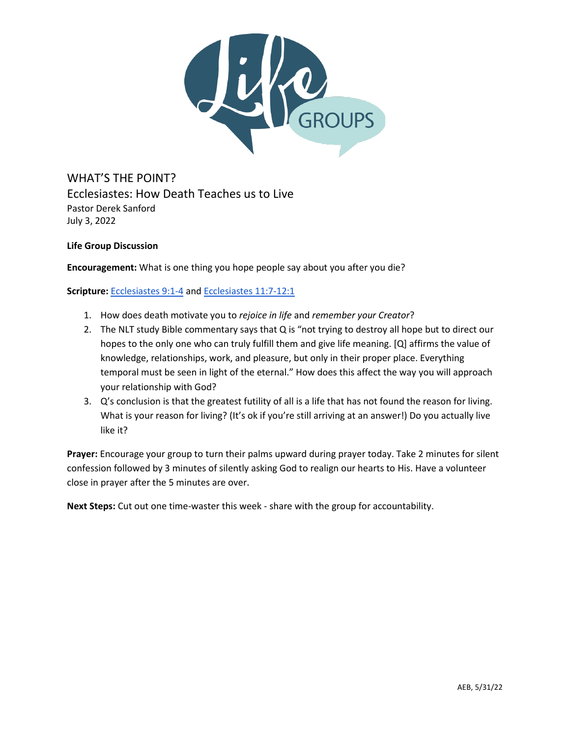

WHAT'S THE POINT? Ecclesiastes: How Death Teaches us to Live Pastor Derek Sanford July 3, 2022

**Life Group Discussion**

**Encouragement:** What is one thing you hope people say about you after you die?

**Scripture:** [Ecclesiastes 9:1-4](https://www.biblegateway.com/passage/?search=Ecclesiastes+9%3A1-4&version=ESV) and [Ecclesiastes 11:7-12:1](https://www.biblegateway.com/passage/?search=Ecclesiastes+11%3A7-12%3A1&version=ESV)

- 1. How does death motivate you to *rejoice in life* and *remember your Creator*?
- 2. The NLT study Bible commentary says that Q is "not trying to destroy all hope but to direct our hopes to the only one who can truly fulfill them and give life meaning. [Q] affirms the value of knowledge, relationships, work, and pleasure, but only in their proper place. Everything temporal must be seen in light of the eternal." How does this affect the way you will approach your relationship with God?
- 3. Q's conclusion is that the greatest futility of all is a life that has not found the reason for living. What is your reason for living? (It's ok if you're still arriving at an answer!) Do you actually live like it?

**Prayer:** Encourage your group to turn their palms upward during prayer today. Take 2 minutes for silent confession followed by 3 minutes of silently asking God to realign our hearts to His. Have a volunteer close in prayer after the 5 minutes are over.

**Next Steps:** Cut out one time-waster this week - share with the group for accountability.